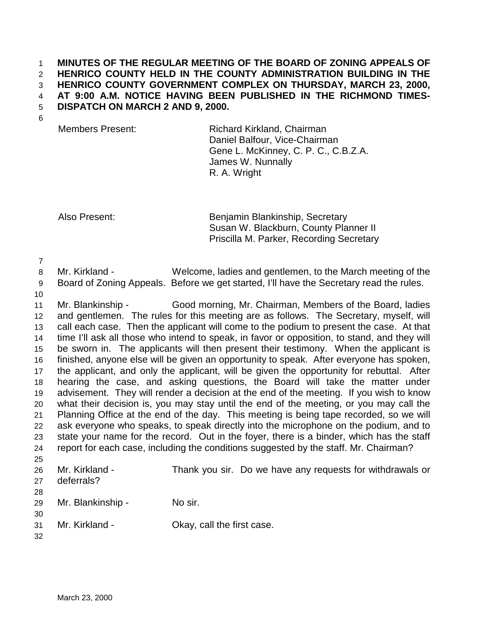## 1 **MINUTES OF THE REGULAR MEETING OF THE BOARD OF ZONING APPEALS OF**  2 **HENRICO COUNTY HELD IN THE COUNTY ADMINISTRATION BUILDING IN THE**  3 **HENRICO COUNTY GOVERNMENT COMPLEX ON THURSDAY, MARCH 23, 2000,**  4 **AT 9:00 A.M. NOTICE HAVING BEEN PUBLISHED IN THE RICHMOND TIMES-**5 **DISPATCH ON MARCH 2 AND 9, 2000.**

6

Members Present: Richard Kirkland, Chairman Daniel Balfour, Vice-Chairman Gene L. McKinney, C. P. C., C.B.Z.A. James W. Nunnally R. A. Wright

Also Present: Benjamin Blankinship, Secretary Susan W. Blackburn, County Planner II Priscilla M. Parker, Recording Secretary

7

8 Mr. Kirkland - Welcome, ladies and gentlemen, to the March meeting of the 9 Board of Zoning Appeals. Before we get started, I'll have the Secretary read the rules.

10

11 Mr. Blankinship - Good morning, Mr. Chairman, Members of the Board, ladies 12 and gentlemen. The rules for this meeting are as follows. The Secretary, myself, will 13 call each case. Then the applicant will come to the podium to present the case. At that 14 time I'll ask all those who intend to speak, in favor or opposition, to stand, and they will 15 be sworn in. The applicants will then present their testimony. When the applicant is 16 finished, anyone else will be given an opportunity to speak. After everyone has spoken, 17 the applicant, and only the applicant, will be given the opportunity for rebuttal. After 18 hearing the case, and asking questions, the Board will take the matter under 19 advisement. They will render a decision at the end of the meeting. If you wish to know 20 what their decision is, you may stay until the end of the meeting, or you may call the 21 Planning Office at the end of the day. This meeting is being tape recorded, so we will 22 ask everyone who speaks, to speak directly into the microphone on the podium, and to 23 state your name for the record. Out in the foyer, there is a binder, which has the staff 24 report for each case, including the conditions suggested by the staff. Mr. Chairman? 25

- 26 Mr. Kirkland Thank you sir. Do we have any requests for withdrawals or 27 deferrals? 28 29 Mr. Blankinship - No sir. 30 31 Mr. Kirkland - Okay, call the first case.
- 32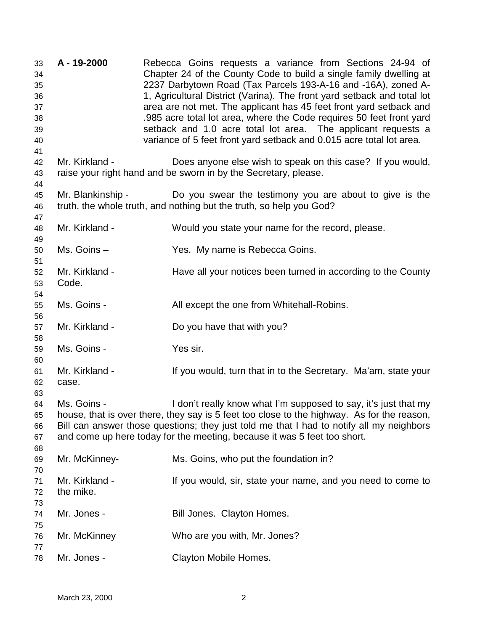33 **A - 19-2000** Rebecca Goins requests a variance from Sections 24-94 of 34 Chapter 24 of the County Code to build a single family dwelling at 35 2237 Darbytown Road (Tax Parcels 193-A-16 and -16A), zoned A-36 1, Agricultural District (Varina). The front yard setback and total lot 37 area are not met. The applicant has 45 feet front yard setback and 38 .985 acre total lot area, where the Code requires 50 feet front yard 39 setback and 1.0 acre total lot area. The applicant requests a 40 variance of 5 feet front yard setback and 0.015 acre total lot area. 41 42 Mr. Kirkland - Does anyone else wish to speak on this case? If you would, 43 raise your right hand and be sworn in by the Secretary, please. 44 45 Mr. Blankinship - Do you swear the testimony you are about to give is the 46 truth, the whole truth, and nothing but the truth, so help you God? 47 48 Mr. Kirkland - Would you state your name for the record, please. 49 50 Ms. Goins – Yes. My name is Rebecca Goins. 51 52 Mr. Kirkland - Have all your notices been turned in according to the County 53 Code. 54 55 Ms. Goins - All except the one from Whitehall-Robins. 56 57 Mr. Kirkland - Do you have that with you? 58 59 Ms. Goins - Yes sir. 60 61 Mr. Kirkland - If you would, turn that in to the Secretary. Ma'am, state your 62 case. 63 64 Ms. Goins - I don't really know what I'm supposed to say, it's just that my 65 house, that is over there, they say is 5 feet too close to the highway. As for the reason, 66 Bill can answer those questions; they just told me that I had to notify all my neighbors 67 and come up here today for the meeting, because it was 5 feet too short. 68 69 Mr. McKinney- Ms. Goins, who put the foundation in? 70 71 Mr. Kirkland - If you would, sir, state your name, and you need to come to 72 the mike. 73 74 Mr. Jones - Bill Jones. Clayton Homes. 75 76 Mr. McKinney Who are you with, Mr. Jones? 77 78 Mr. Jones - Clayton Mobile Homes.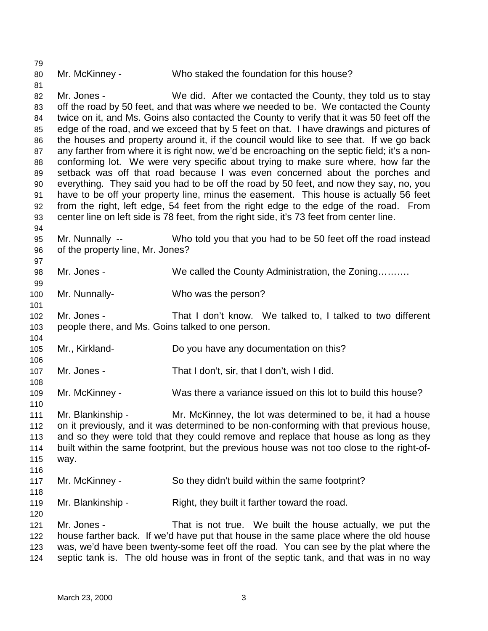80 Mr. McKinney - Who staked the foundation for this house?

82 Mr. Jones - We did. After we contacted the County, they told us to stay 83 off the road by 50 feet, and that was where we needed to be. We contacted the County 84 twice on it, and Ms. Goins also contacted the County to verify that it was 50 feet off the 85 edge of the road, and we exceed that by 5 feet on that. I have drawings and pictures of 86 the houses and property around it, if the council would like to see that. If we go back 87 any farther from where it is right now, we'd be encroaching on the septic field; it's a non-88 conforming lot. We were very specific about trying to make sure where, how far the 89 setback was off that road because I was even concerned about the porches and 90 everything. They said you had to be off the road by 50 feet, and now they say, no, you 91 have to be off your property line, minus the easement. This house is actually 56 feet 92 from the right, left edge, 54 feet from the right edge to the edge of the road. From 93 center line on left side is 78 feet, from the right side, it's 73 feet from center line.

95 Mr. Nunnally -- Who told you that you had to be 50 feet off the road instead 96 of the property line, Mr. Jones?

98 Mr. Jones - We called the County Administration, the Zoning………

100 Mr. Nunnally- Who was the person?

102 Mr. Jones - That I don't know. We talked to, I talked to two different 103 people there, and Ms. Goins talked to one person.

105 Mr., Kirkland- Do you have any documentation on this?

107 Mr. Jones - That I don't, sir, that I don't, wish I did.

109 Mr. McKinney - Was there a variance issued on this lot to build this house?

111 Mr. Blankinship - Mr. McKinney, the lot was determined to be, it had a house 112 on it previously, and it was determined to be non-conforming with that previous house, 113 and so they were told that they could remove and replace that house as long as they 114 built within the same footprint, but the previous house was not too close to the right-of-115 way.

- 117 Mr. McKinney So they didn't build within the same footprint?
- 119 Mr. Blankinship Right, they built it farther toward the road.

121 Mr. Jones - That is not true. We built the house actually, we put the 122 house farther back. If we'd have put that house in the same place where the old house 123 was, we'd have been twenty-some feet off the road. You can see by the plat where the 124 septic tank is. The old house was in front of the septic tank, and that was in no way

79

81

94

97

99

101

104

106

108

110

116

118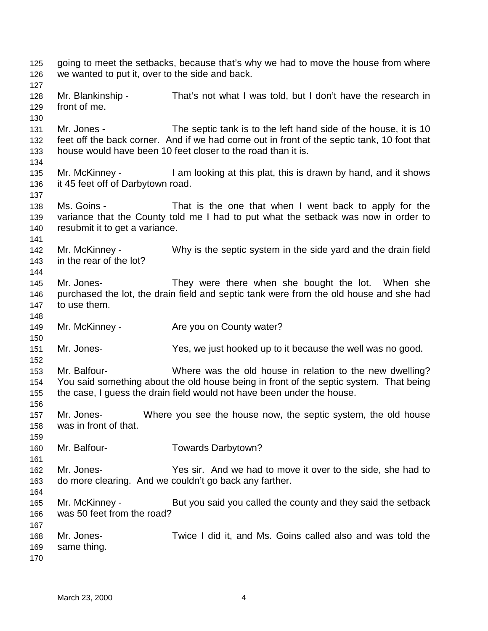125 going to meet the setbacks, because that's why we had to move the house from where 126 we wanted to put it, over to the side and back. 127 128 Mr. Blankinship - That's not what I was told, but I don't have the research in 129 front of me. 130 131 Mr. Jones - The septic tank is to the left hand side of the house, it is 10 132 feet off the back corner. And if we had come out in front of the septic tank, 10 foot that 133 house would have been 10 feet closer to the road than it is. 134 135 Mr. McKinney - I am looking at this plat, this is drawn by hand, and it shows 136 it 45 feet off of Darbytown road. 137 138 Ms. Goins - That is the one that when I went back to apply for the 139 variance that the County told me I had to put what the setback was now in order to 140 resubmit it to get a variance. 141 142 Mr. McKinney - Why is the septic system in the side yard and the drain field 143 in the rear of the lot? 144 145 Mr. Jones- They were there when she bought the lot. When she 146 purchased the lot, the drain field and septic tank were from the old house and she had 147 to use them. 148 149 Mr. McKinney - Are you on County water? 150 151 Mr. Jones- Yes, we just hooked up to it because the well was no good. 152 153 Mr. Balfour- Where was the old house in relation to the new dwelling? 154 You said something about the old house being in front of the septic system. That being 155 the case, I guess the drain field would not have been under the house. 156 157 Mr. Jones- Where you see the house now, the septic system, the old house 158 was in front of that. 159 160 Mr. Balfour- Towards Darbytown? 161 162 Mr. Jones- Yes sir. And we had to move it over to the side, she had to 163 do more clearing. And we couldn't go back any farther. 164 165 Mr. McKinney - But you said you called the county and they said the setback 166 was 50 feet from the road? 167 168 Mr. Jones- Twice I did it, and Ms. Goins called also and was told the 169 same thing. 170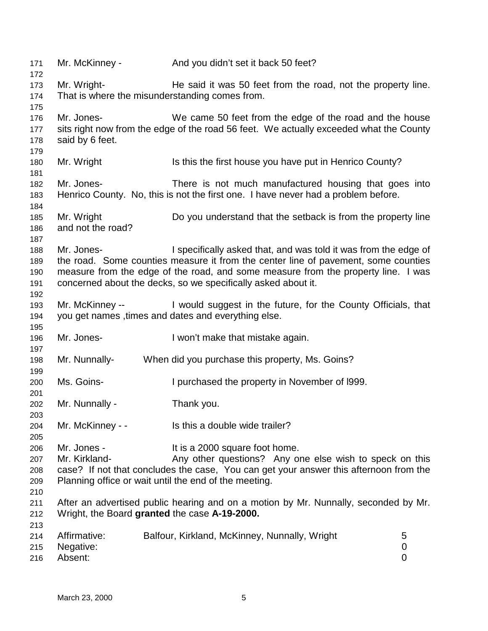| 171<br>172 | Mr. McKinney -                                                                                                                                     | And you didn't set it back 50 feet?                                                    |             |  |  |
|------------|----------------------------------------------------------------------------------------------------------------------------------------------------|----------------------------------------------------------------------------------------|-------------|--|--|
| 173        | Mr. Wright-                                                                                                                                        | He said it was 50 feet from the road, not the property line.                           |             |  |  |
| 174        | That is where the misunderstanding comes from.                                                                                                     |                                                                                        |             |  |  |
| 175        |                                                                                                                                                    |                                                                                        |             |  |  |
| 176        | Mr. Jones-                                                                                                                                         | We came 50 feet from the edge of the road and the house                                |             |  |  |
| 177        |                                                                                                                                                    | sits right now from the edge of the road 56 feet. We actually exceeded what the County |             |  |  |
| 178        | said by 6 feet.                                                                                                                                    |                                                                                        |             |  |  |
| 179        |                                                                                                                                                    |                                                                                        |             |  |  |
| 180        | Mr. Wright                                                                                                                                         | Is this the first house you have put in Henrico County?                                |             |  |  |
| 181        |                                                                                                                                                    |                                                                                        |             |  |  |
| 182        | Mr. Jones-                                                                                                                                         | There is not much manufactured housing that goes into                                  |             |  |  |
| 183<br>184 |                                                                                                                                                    | Henrico County. No, this is not the first one. I have never had a problem before.      |             |  |  |
| 185        | Mr. Wright                                                                                                                                         | Do you understand that the setback is from the property line                           |             |  |  |
| 186        | and not the road?                                                                                                                                  |                                                                                        |             |  |  |
| 187        |                                                                                                                                                    |                                                                                        |             |  |  |
| 188        | Mr. Jones-                                                                                                                                         | I specifically asked that, and was told it was from the edge of                        |             |  |  |
| 189        |                                                                                                                                                    |                                                                                        |             |  |  |
|            | the road. Some counties measure it from the center line of pavement, some counties                                                                 |                                                                                        |             |  |  |
| 190        | measure from the edge of the road, and some measure from the property line. I was<br>concerned about the decks, so we specifically asked about it. |                                                                                        |             |  |  |
| 191        |                                                                                                                                                    |                                                                                        |             |  |  |
| 192        |                                                                                                                                                    |                                                                                        |             |  |  |
| 193        | Mr. McKinney --                                                                                                                                    | I would suggest in the future, for the County Officials, that                          |             |  |  |
| 194        |                                                                                                                                                    | you get names, times and dates and everything else.                                    |             |  |  |
| 195        |                                                                                                                                                    |                                                                                        |             |  |  |
| 196        | Mr. Jones-                                                                                                                                         | I won't make that mistake again.                                                       |             |  |  |
| 197        |                                                                                                                                                    |                                                                                        |             |  |  |
| 198<br>199 | Mr. Nunnally-                                                                                                                                      | When did you purchase this property, Ms. Goins?                                        |             |  |  |
| 200        | Ms. Goins-                                                                                                                                         | I purchased the property in November of 1999.                                          |             |  |  |
| 201        |                                                                                                                                                    |                                                                                        |             |  |  |
| 202        | Mr. Nunnally -                                                                                                                                     | Thank you.                                                                             |             |  |  |
| 203        |                                                                                                                                                    |                                                                                        |             |  |  |
| 204        | Mr. McKinney - -                                                                                                                                   | Is this a double wide trailer?                                                         |             |  |  |
| 205        |                                                                                                                                                    |                                                                                        |             |  |  |
| 206        | Mr. Jones -                                                                                                                                        | It is a 2000 square foot home.                                                         |             |  |  |
| 207        | Mr. Kirkland-                                                                                                                                      | Any other questions? Any one else wish to speck on this                                |             |  |  |
| 208        | case? If not that concludes the case, You can get your answer this afternoon from the                                                              |                                                                                        |             |  |  |
| 209        | Planning office or wait until the end of the meeting.                                                                                              |                                                                                        |             |  |  |
| 210        |                                                                                                                                                    |                                                                                        |             |  |  |
| 211        |                                                                                                                                                    | After an advertised public hearing and on a motion by Mr. Nunnally, seconded by Mr.    |             |  |  |
| 212        | Wright, the Board granted the case A-19-2000.                                                                                                      |                                                                                        |             |  |  |
| 213        |                                                                                                                                                    |                                                                                        |             |  |  |
| 214        | Affirmative:                                                                                                                                       | Balfour, Kirkland, McKinney, Nunnally, Wright                                          | 5           |  |  |
| 215        | Negative:                                                                                                                                          |                                                                                        | 0           |  |  |
| 216        | Absent:                                                                                                                                            |                                                                                        | $\mathbf 0$ |  |  |
|            |                                                                                                                                                    |                                                                                        |             |  |  |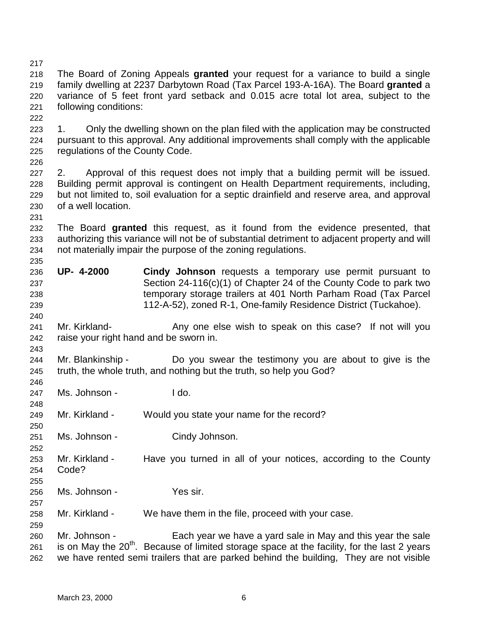217

218 The Board of Zoning Appeals **granted** your request for a variance to build a single 219 family dwelling at 2237 Darbytown Road (Tax Parcel 193-A-16A). The Board **granted** a 220 variance of 5 feet front yard setback and 0.015 acre total lot area, subject to the 221 following conditions:

- 223 1. Only the dwelling shown on the plan filed with the application may be constructed 224 pursuant to this approval. Any additional improvements shall comply with the applicable 225 regulations of the County Code.
- 226

231

235

240

243

246

248

250

252

255

257

259

222

227 2. Approval of this request does not imply that a building permit will be issued. 228 Building permit approval is contingent on Health Department requirements, including, 229 but not limited to, soil evaluation for a septic drainfield and reserve area, and approval 230 of a well location.

- 232 The Board **granted** this request, as it found from the evidence presented, that 233 authorizing this variance will not be of substantial detriment to adjacent property and will 234 not materially impair the purpose of the zoning regulations.
- 236 **UP- 4-2000 Cindy Johnson** requests a temporary use permit pursuant to 237 Section 24-116(c)(1) of Chapter 24 of the County Code to park two 238 temporary storage trailers at 401 North Parham Road (Tax Parcel 239 112-A-52), zoned R-1, One-family Residence District (Tuckahoe).
- 241 Mr. Kirkland- **Any one else wish to speak on this case?** If not will you 242 raise your right hand and be sworn in.
- 244 Mr. Blankinship Do you swear the testimony you are about to give is the 245 truth, the whole truth, and nothing but the truth, so help you God?
- 247 Ms. Johnson I do.
- 249 Mr. Kirkland Would you state your name for the record?
- 251 Ms. Johnson Cindy Johnson.
- 253 Mr. Kirkland Have you turned in all of your notices, according to the County 254 Code?
- 256 Ms. Johnson Yes sir.
- 258 Mr. Kirkland We have them in the file, proceed with your case.
- 260 Mr. Johnson Each year we have a yard sale in May and this year the sale 261 is on May the 20<sup>th</sup>. Because of limited storage space at the facility, for the last 2 years 262 we have rented semi trailers that are parked behind the building, They are not visible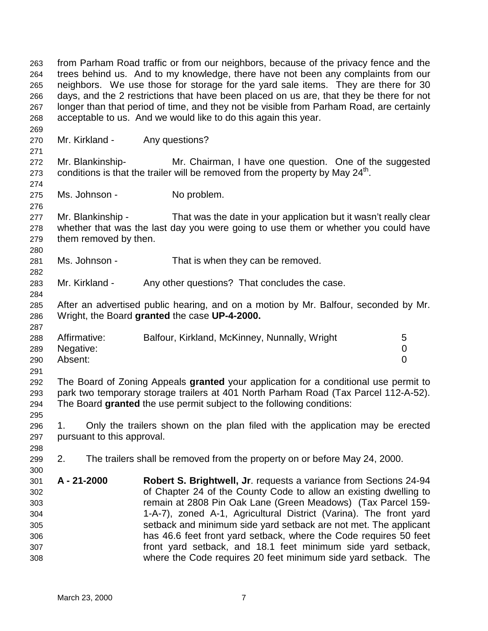263 from Parham Road traffic or from our neighbors, because of the privacy fence and the 264 trees behind us. And to my knowledge, there have not been any complaints from our 265 neighbors. We use those for storage for the yard sale items. They are there for 30 266 days, and the 2 restrictions that have been placed on us are, that they be there for not 267 longer than that period of time, and they not be visible from Parham Road, are certainly 268 acceptable to us. And we would like to do this again this year. 269 270 Mr. Kirkland - Any questions? 271 272 Mr. Blankinship- Mr. Chairman, I have one question. One of the suggested 273 conditions is that the trailer will be removed from the property by May  $24<sup>th</sup>$ . 274 275 Ms. Johnson - No problem. 276 277 Mr. Blankinship - That was the date in your application but it wasn't really clear 278 whether that was the last day you were going to use them or whether you could have 279 them removed by then. 280 281 Ms. Johnson - That is when they can be removed. 282 283 Mr. Kirkland - Any other questions? That concludes the case. 284 285 After an advertised public hearing, and on a motion by Mr. Balfour, seconded by Mr. 286 Wright, the Board **granted** the case **UP-4-2000.** 287 288 Affirmative: Balfour, Kirkland, McKinney, Nunnally, Wright 5 289 Negative: 0 290 Absent: 0 291 292 The Board of Zoning Appeals **granted** your application for a conditional use permit to 293 park two temporary storage trailers at 401 North Parham Road (Tax Parcel 112-A-52). 294 The Board **granted** the use permit subject to the following conditions: 295 296 1. Only the trailers shown on the plan filed with the application may be erected 297 pursuant to this approval. 298 299 2. The trailers shall be removed from the property on or before May 24, 2000. 300 301 **A - 21-2000 Robert S. Brightwell, Jr**. requests a variance from Sections 24-94 302 of Chapter 24 of the County Code to allow an existing dwelling to 303 remain at 2808 Pin Oak Lane (Green Meadows) (Tax Parcel 159- 304 1-A-7), zoned A-1, Agricultural District (Varina). The front yard 305 setback and minimum side yard setback are not met. The applicant 306 has 46.6 feet front yard setback, where the Code requires 50 feet 307 front yard setback, and 18.1 feet minimum side yard setback, 308 where the Code requires 20 feet minimum side yard setback. The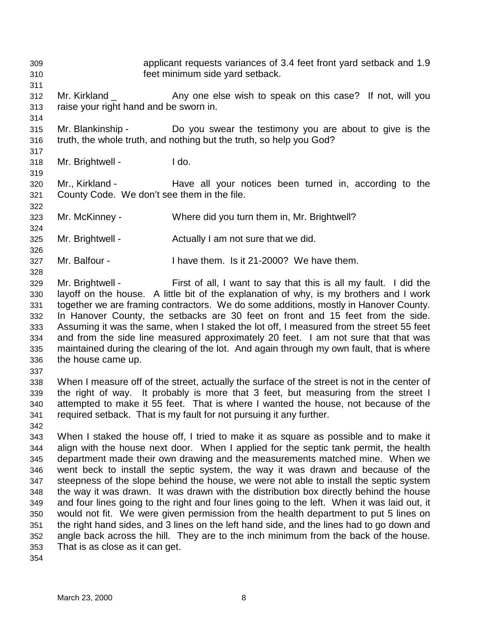309 applicant requests variances of 3.4 feet front yard setback and 1.9 310 feet minimum side yard setback. 311 312 Mr. Kirkland \_ Any one else wish to speak on this case? If not, will you 313 raise your right hand and be sworn in. 314 315 Mr. Blankinship - Do you swear the testimony you are about to give is the 316 truth, the whole truth, and nothing but the truth, so help you God? 317 318 Mr. Brightwell - I do. 319 320 Mr., Kirkland - Have all your notices been turned in, according to the 321 County Code. We don't see them in the file. 322 323 Mr. McKinney - Where did you turn them in, Mr. Brightwell? 324

- 325 Mr. Brightwell Actually I am not sure that we did.
- 327 Mr. Balfour I have them. Is it 21-2000? We have them.
- 329 Mr. Brightwell First of all, I want to say that this is all my fault. I did the 330 layoff on the house. A little bit of the explanation of why, is my brothers and I work 331 together we are framing contractors. We do some additions, mostly in Hanover County. 332 In Hanover County, the setbacks are 30 feet on front and 15 feet from the side. 333 Assuming it was the same, when I staked the lot off, I measured from the street 55 feet 334 and from the side line measured approximately 20 feet. I am not sure that that was 335 maintained during the clearing of the lot. And again through my own fault, that is where 336 the house came up.
- 337

326

328

338 When I measure off of the street, actually the surface of the street is not in the center of 339 the right of way. It probably is more that 3 feet, but measuring from the street I 340 attempted to make it 55 feet. That is where I wanted the house, not because of the 341 required setback. That is my fault for not pursuing it any further.

342

343 When I staked the house off, I tried to make it as square as possible and to make it 344 align with the house next door. When I applied for the septic tank permit, the health 345 department made their own drawing and the measurements matched mine. When we 346 went beck to install the septic system, the way it was drawn and because of the 347 steepness of the slope behind the house, we were not able to install the septic system 348 the way it was drawn. It was drawn with the distribution box directly behind the house 349 and four lines going to the right and four lines going to the left. When it was laid out, it 350 would not fit. We were given permission from the health department to put 5 lines on 351 the right hand sides, and 3 lines on the left hand side, and the lines had to go down and 352 angle back across the hill. They are to the inch minimum from the back of the house. 353 That is as close as it can get.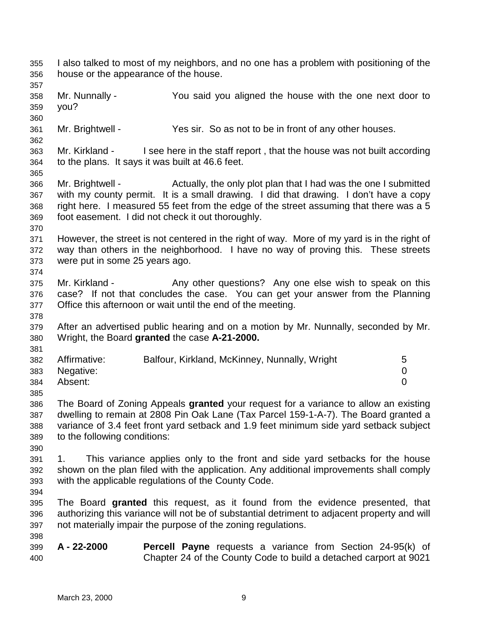355 I also talked to most of my neighbors, and no one has a problem with positioning of the 356 house or the appearance of the house. 357 358 Mr. Nunnally - You said you aligned the house with the one next door to 359 you? 360 361 Mr. Brightwell - Yes sir. So as not to be in front of any other houses. 362 363 Mr. Kirkland - I see here in the staff report , that the house was not built according 364 to the plans. It says it was built at 46.6 feet. 365 366 Mr. Brightwell - Actually, the only plot plan that I had was the one I submitted 367 with my county permit. It is a small drawing. I did that drawing. I don't have a copy 368 right here. I measured 55 feet from the edge of the street assuming that there was a 5 369 foot easement. I did not check it out thoroughly. 370 371 However, the street is not centered in the right of way. More of my yard is in the right of 372 way than others in the neighborhood. I have no way of proving this. These streets 373 were put in some 25 years ago. 374 375 Mr. Kirkland - Any other questions? Any one else wish to speak on this 376 case? If not that concludes the case. You can get your answer from the Planning 377 Office this afternoon or wait until the end of the meeting. 378 379 After an advertised public hearing and on a motion by Mr. Nunnally, seconded by Mr. 380 Wright, the Board **granted** the case **A-21-2000.** 381 382 Affirmative: Balfour, Kirkland, McKinney, Nunnally, Wright 5 383 Negative: 0 384 Absent: 0 385 386 The Board of Zoning Appeals **granted** your request for a variance to allow an existing 387 dwelling to remain at 2808 Pin Oak Lane (Tax Parcel 159-1-A-7). The Board granted a 388 variance of 3.4 feet front yard setback and 1.9 feet minimum side yard setback subject 389 to the following conditions: 390 391 1. This variance applies only to the front and side yard setbacks for the house 392 shown on the plan filed with the application. Any additional improvements shall comply 393 with the applicable regulations of the County Code. 394 395 The Board **granted** this request, as it found from the evidence presented, that 396 authorizing this variance will not be of substantial detriment to adjacent property and will 397 not materially impair the purpose of the zoning regulations. 398 399 **A - 22-2000 Percell Payne** requests a variance from Section 24-95(k) of 400 Chapter 24 of the County Code to build a detached carport at 9021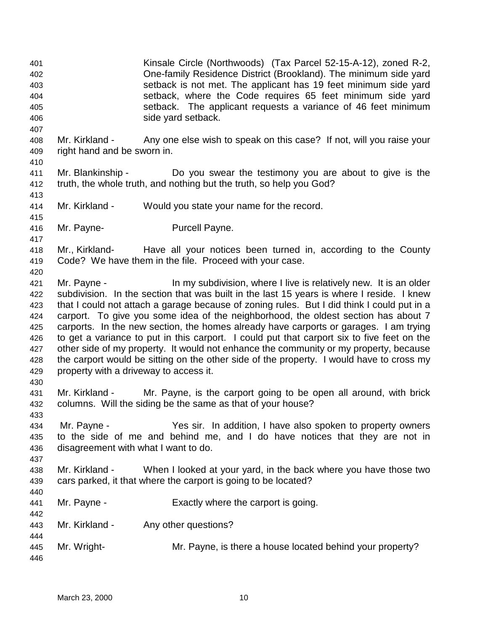401 Kinsale Circle (Northwoods) (Tax Parcel 52-15-A-12), zoned R-2, 402 One-family Residence District (Brookland). The minimum side yard 403 setback is not met. The applicant has 19 feet minimum side yard 404 setback, where the Code requires 65 feet minimum side yard 405 setback. The applicant requests a variance of 46 feet minimum 406 side yard setback. 407 408 Mr. Kirkland - Any one else wish to speak on this case? If not, will you raise your 409 right hand and be sworn in. 410 411 Mr. Blankinship - Do you swear the testimony you are about to give is the 412 truth, the whole truth, and nothing but the truth, so help you God? 413 414 Mr. Kirkland - Would you state your name for the record. 415 416 Mr. Payne- Purcell Payne. 417 418 Mr., Kirkland- Have all your notices been turned in, according to the County 419 Code? We have them in the file. Proceed with your case. 420 421 Mr. Payne - In my subdivision, where I live is relatively new. It is an older 422 subdivision. In the section that was built in the last 15 years is where I reside. I knew 423 that I could not attach a garage because of zoning rules. But I did think I could put in a 424 carport. To give you some idea of the neighborhood, the oldest section has about 7 425 carports. In the new section, the homes already have carports or garages. I am trying 426 to get a variance to put in this carport. I could put that carport six to five feet on the 427 other side of my property. It would not enhance the community or my property, because 428 the carport would be sitting on the other side of the property. I would have to cross my 429 property with a driveway to access it. 430 431 Mr. Kirkland - Mr. Payne, is the carport going to be open all around, with brick 432 columns. Will the siding be the same as that of your house? 433 434 Mr. Payne - Yes sir. In addition, I have also spoken to property owners 435 to the side of me and behind me, and I do have notices that they are not in 436 disagreement with what I want to do. 437 438 Mr. Kirkland - When I looked at your yard, in the back where you have those two 439 cars parked, it that where the carport is going to be located? 440 441 Mr. Payne - Exactly where the carport is going. 442 443 Mr. Kirkland - Any other questions? 444 445 Mr. Wright- Mr. Payne, is there a house located behind your property? 446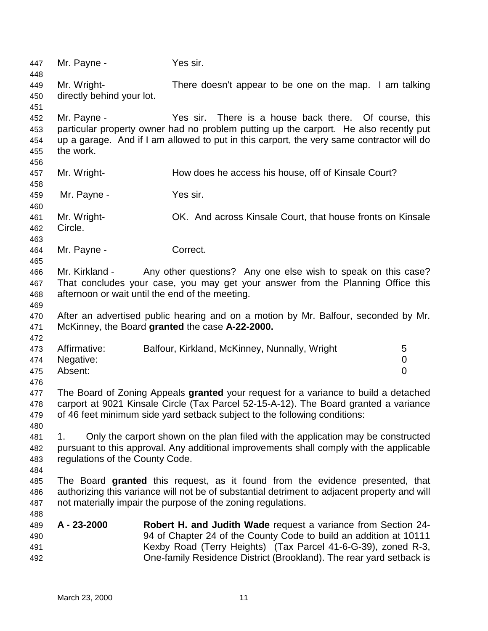447 Mr. Payne - Yes sir. 448 449 Mr. Wright- There doesn't appear to be one on the map. I am talking 450 directly behind your lot. 451 452 Mr. Payne - Yes sir. There is a house back there. Of course, this 453 particular property owner had no problem putting up the carport. He also recently put 454 up a garage. And if I am allowed to put in this carport, the very same contractor will do 455 the work. 456 457 Mr. Wright- How does he access his house, off of Kinsale Court? 458 459 Mr. Payne - Yes sir. 460 461 Mr. Wright- OK. And across Kinsale Court, that house fronts on Kinsale 462 Circle. 463 464 Mr. Payne - Correct. 465 466 Mr. Kirkland - Any other questions? Any one else wish to speak on this case? 467 That concludes your case, you may get your answer from the Planning Office this 468 afternoon or wait until the end of the meeting. 469 470 After an advertised public hearing and on a motion by Mr. Balfour, seconded by Mr. 471 McKinney, the Board **granted** the case **A-22-2000.** 472 473 Affirmative: Balfour, Kirkland, McKinney, Nunnally, Wright 5 474 Negative: 0 475 Absent: 0 476 477 The Board of Zoning Appeals **granted** your request for a variance to build a detached 478 carport at 9021 Kinsale Circle (Tax Parcel 52-15-A-12). The Board granted a variance 479 of 46 feet minimum side yard setback subject to the following conditions: 480 481 1. Only the carport shown on the plan filed with the application may be constructed 482 pursuant to this approval. Any additional improvements shall comply with the applicable 483 regulations of the County Code. 484 485 The Board **granted** this request, as it found from the evidence presented, that 486 authorizing this variance will not be of substantial detriment to adjacent property and will 487 not materially impair the purpose of the zoning regulations. 488 489 **A - 23-2000 Robert H. and Judith Wade** request a variance from Section 24- 490 94 of Chapter 24 of the County Code to build an addition at 10111 491 Kexby Road (Terry Heights) (Tax Parcel 41-6-G-39), zoned R-3, 492 One-family Residence District (Brookland). The rear yard setback is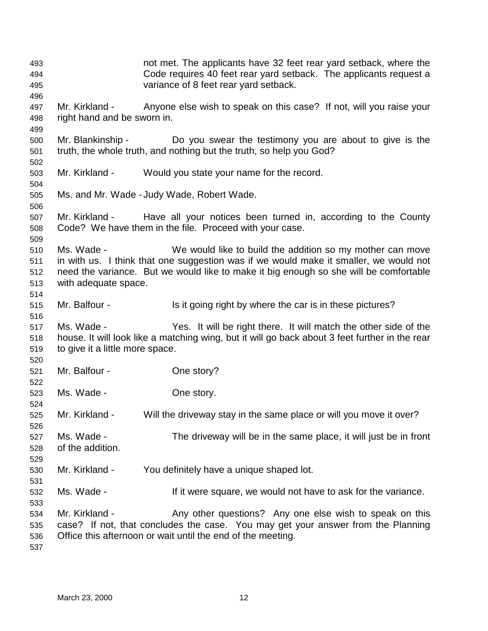493 not met. The applicants have 32 feet rear yard setback, where the 494 Code requires 40 feet rear yard setback. The applicants request a 495 variance of 8 feet rear yard setback. 496 497 Mr. Kirkland - Anyone else wish to speak on this case? If not, will you raise your 498 right hand and be sworn in. 499 500 Mr. Blankinship - Do you swear the testimony you are about to give is the 501 truth, the whole truth, and nothing but the truth, so help you God? 502 503 Mr. Kirkland - Would you state your name for the record. 504 505 Ms. and Mr. Wade - Judy Wade, Robert Wade. 506 507 Mr. Kirkland - Have all your notices been turned in, according to the County 508 Code? We have them in the file. Proceed with your case. 509 510 Ms. Wade - We would like to build the addition so my mother can move 511 in with us. I think that one suggestion was if we would make it smaller, we would not 512 need the variance. But we would like to make it big enough so she will be comfortable 513 with adequate space. 514 515 Mr. Balfour - Is it going right by where the car is in these pictures? 516 517 Ms. Wade - Yes. It will be right there. It will match the other side of the 518 house. It will look like a matching wing, but it will go back about 3 feet further in the rear 519 to give it a little more space. 520 521 Mr. Balfour - Che story? 522 523 Ms. Wade - One story. 524 525 Mr. Kirkland - Will the driveway stay in the same place or will you move it over? 526 527 Ms. Wade - The driveway will be in the same place, it will just be in front 528 of the addition. 529 530 Mr. Kirkland - You definitely have a unique shaped lot. 531 532 Ms. Wade - If it were square, we would not have to ask for the variance. 533 534 Mr. Kirkland - Any other questions? Any one else wish to speak on this 535 case? If not, that concludes the case. You may get your answer from the Planning 536 Office this afternoon or wait until the end of the meeting. 537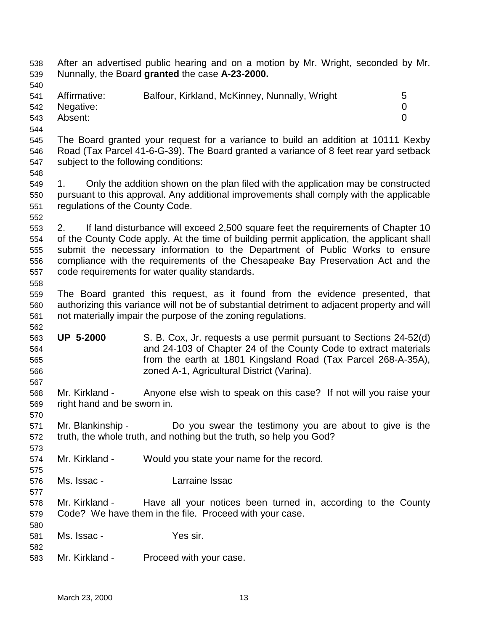| 538        | After an advertised public hearing and on a motion by Mr. Wright, seconded by Mr.<br>Nunnally, the Board granted the case A-23-2000. |                                                                                              |                |  |  |
|------------|--------------------------------------------------------------------------------------------------------------------------------------|----------------------------------------------------------------------------------------------|----------------|--|--|
| 539        |                                                                                                                                      |                                                                                              |                |  |  |
| 540        |                                                                                                                                      |                                                                                              |                |  |  |
| 541        | Affirmative:                                                                                                                         | Balfour, Kirkland, McKinney, Nunnally, Wright                                                | 5              |  |  |
| 542        | Negative:                                                                                                                            |                                                                                              | $\mathbf 0$    |  |  |
| 543        | Absent:                                                                                                                              |                                                                                              | $\overline{0}$ |  |  |
| 544        |                                                                                                                                      |                                                                                              |                |  |  |
| 545        | The Board granted your request for a variance to build an addition at 10111 Kexby                                                    |                                                                                              |                |  |  |
| 546        | Road (Tax Parcel 41-6-G-39). The Board granted a variance of 8 feet rear yard setback                                                |                                                                                              |                |  |  |
| 547        | subject to the following conditions:                                                                                                 |                                                                                              |                |  |  |
| 548        |                                                                                                                                      |                                                                                              |                |  |  |
| 549        | 1.                                                                                                                                   | Only the addition shown on the plan filed with the application may be constructed            |                |  |  |
| 550        | pursuant to this approval. Any additional improvements shall comply with the applicable                                              |                                                                                              |                |  |  |
| 551        | regulations of the County Code.                                                                                                      |                                                                                              |                |  |  |
| 552        |                                                                                                                                      |                                                                                              |                |  |  |
| 553        | If land disturbance will exceed 2,500 square feet the requirements of Chapter 10<br>2.                                               |                                                                                              |                |  |  |
| 554        | of the County Code apply. At the time of building permit application, the applicant shall                                            |                                                                                              |                |  |  |
| 555        | submit the necessary information to the Department of Public Works to ensure                                                         |                                                                                              |                |  |  |
| 556        | compliance with the requirements of the Chesapeake Bay Preservation Act and the                                                      |                                                                                              |                |  |  |
| 557        | code requirements for water quality standards.                                                                                       |                                                                                              |                |  |  |
| 558        |                                                                                                                                      |                                                                                              |                |  |  |
| 559        | The Board granted this request, as it found from the evidence presented, that                                                        |                                                                                              |                |  |  |
| 560        |                                                                                                                                      | authorizing this variance will not be of substantial detriment to adjacent property and will |                |  |  |
| 561        |                                                                                                                                      | not materially impair the purpose of the zoning regulations.                                 |                |  |  |
| 562        |                                                                                                                                      |                                                                                              |                |  |  |
| 563        | <b>UP 5-2000</b>                                                                                                                     | S. B. Cox, Jr. requests a use permit pursuant to Sections 24-52(d)                           |                |  |  |
| 564        |                                                                                                                                      | and 24-103 of Chapter 24 of the County Code to extract materials                             |                |  |  |
| 565        |                                                                                                                                      | from the earth at 1801 Kingsland Road (Tax Parcel 268-A-35A),                                |                |  |  |
| 566        |                                                                                                                                      | zoned A-1, Agricultural District (Varina).                                                   |                |  |  |
| 567        |                                                                                                                                      |                                                                                              |                |  |  |
| 568        | Mr. Kirkland -                                                                                                                       | Anyone else wish to speak on this case? If not will you raise your                           |                |  |  |
| 569        | right hand and be sworn in.                                                                                                          |                                                                                              |                |  |  |
| 570        |                                                                                                                                      |                                                                                              |                |  |  |
| 571        | Mr. Blankinship -                                                                                                                    | Do you swear the testimony you are about to give is the                                      |                |  |  |
| 572        |                                                                                                                                      | truth, the whole truth, and nothing but the truth, so help you God?                          |                |  |  |
| 573        | Mr. Kirkland -                                                                                                                       | Would you state your name for the record.                                                    |                |  |  |
| 574        |                                                                                                                                      |                                                                                              |                |  |  |
| 575        |                                                                                                                                      |                                                                                              |                |  |  |
| 576        | Ms. Issac -                                                                                                                          | Larraine Issac                                                                               |                |  |  |
| 577        | Mr. Kirkland -                                                                                                                       |                                                                                              |                |  |  |
| 578        |                                                                                                                                      | Have all your notices been turned in, according to the County                                |                |  |  |
| 579        | Code? We have them in the file. Proceed with your case.                                                                              |                                                                                              |                |  |  |
| 580        | Ms. Issac -                                                                                                                          | Yes sir.                                                                                     |                |  |  |
| 581<br>582 |                                                                                                                                      |                                                                                              |                |  |  |
| 583        | Mr. Kirkland -                                                                                                                       | Proceed with your case.                                                                      |                |  |  |
|            |                                                                                                                                      |                                                                                              |                |  |  |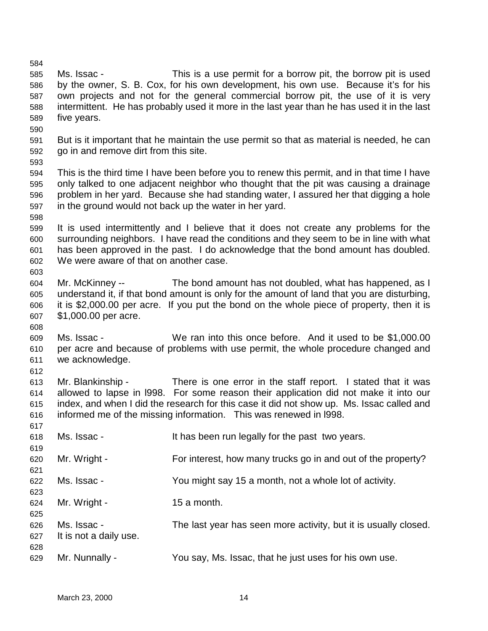585 Ms. Issac - This is a use permit for a borrow pit, the borrow pit is used 586 by the owner, S. B. Cox, for his own development, his own use. Because it's for his 587 own projects and not for the general commercial borrow pit, the use of it is very 588 intermittent. He has probably used it more in the last year than he has used it in the last 589 five years. 590 591 But is it important that he maintain the use permit so that as material is needed, he can 592 go in and remove dirt from this site. 593 594 This is the third time I have been before you to renew this permit, and in that time I have 595 only talked to one adjacent neighbor who thought that the pit was causing a drainage 596 problem in her yard. Because she had standing water, I assured her that digging a hole 597 in the ground would not back up the water in her yard. 598 599 It is used intermittently and I believe that it does not create any problems for the 600 surrounding neighbors. I have read the conditions and they seem to be in line with what 601 has been approved in the past. I do acknowledge that the bond amount has doubled. 602 We were aware of that on another case. 603 604 Mr. McKinney -- The bond amount has not doubled, what has happened, as I 605 understand it, if that bond amount is only for the amount of land that you are disturbing, 606 it is \$2,000.00 per acre. If you put the bond on the whole piece of property, then it is 607 \$1,000.00 per acre. 608 609 Ms. Issac - We ran into this once before. And it used to be \$1,000.00 610 per acre and because of problems with use permit, the whole procedure changed and 611 we acknowledge. 612 613 Mr. Blankinship - There is one error in the staff report. I stated that it was 614 allowed to lapse in l998. For some reason their application did not make it into our 615 index, and when I did the research for this case it did not show up. Ms. Issac called and 616 informed me of the missing information. This was renewed in l998. 617 618 Ms. Issac - It has been run legally for the past two years. 619 620 Mr. Wright - For interest, how many trucks go in and out of the property? 621 622 Ms. Issac - You might say 15 a month, not a whole lot of activity. 623  $624$  Mr. Wright - 15 a month. 625 626 Ms. Issac - The last year has seen more activity, but it is usually closed. 627 It is not a daily use. 628 629 Mr. Nunnally - You say, Ms. Issac, that he just uses for his own use.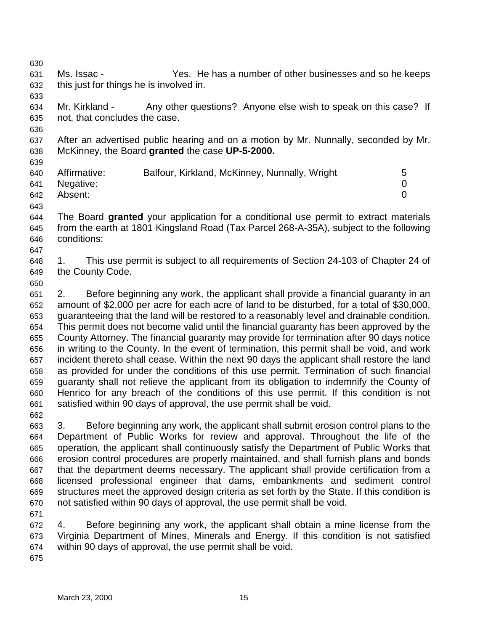631 Ms. Issac - Yes. He has a number of other businesses and so he keeps 632 this just for things he is involved in. 633 634 Mr. Kirkland - Any other questions? Anyone else wish to speak on this case? If 635 not, that concludes the case. 636 637 After an advertised public hearing and on a motion by Mr. Nunnally, seconded by Mr. 638 McKinney, the Board **granted** the case **UP-5-2000.** 639 640 Affirmative: Balfour, Kirkland, McKinney, Nunnally, Wright 5 641 Negative: 0 642 Absent: 0 643 644 The Board **granted** your application for a conditional use permit to extract materials 645 from the earth at 1801 Kingsland Road (Tax Parcel 268-A-35A), subject to the following 646 conditions: 647 648 1. This use permit is subject to all requirements of Section 24-103 of Chapter 24 of 649 the County Code. 650 651 2. Before beginning any work, the applicant shall provide a financial guaranty in an 652 amount of \$2,000 per acre for each acre of land to be disturbed, for a total of \$30,000, 653 guaranteeing that the land will be restored to a reasonably level and drainable condition. 654 This permit does not become valid until the financial guaranty has been approved by the 655 County Attorney. The financial guaranty may provide for termination after 90 days notice 656 in writing to the County. In the event of termination, this permit shall be void, and work 657 incident thereto shall cease. Within the next 90 days the applicant shall restore the land 658 as provided for under the conditions of this use permit. Termination of such financial 659 guaranty shall not relieve the applicant from its obligation to indemnify the County of 660 Henrico for any breach of the conditions of this use permit. If this condition is not 661 satisfied within 90 days of approval, the use permit shall be void. 662 663 3. Before beginning any work, the applicant shall submit erosion control plans to the 664 Department of Public Works for review and approval. Throughout the life of the 665 operation, the applicant shall continuously satisfy the Department of Public Works that 666 erosion control procedures are properly maintained, and shall furnish plans and bonds 667 that the department deems necessary. The applicant shall provide certification from a 668 licensed professional engineer that dams, embankments and sediment control 669 structures meet the approved design criteria as set forth by the State. If this condition is 670 not satisfied within 90 days of approval, the use permit shall be void. 671 672 4. Before beginning any work, the applicant shall obtain a mine license from the 673 Virginia Department of Mines, Minerals and Energy. If this condition is not satisfied 674 within 90 days of approval, the use permit shall be void. 675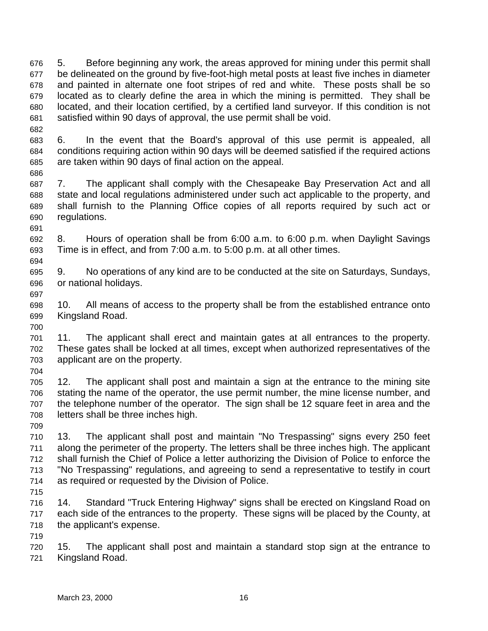676 5. Before beginning any work, the areas approved for mining under this permit shall 677 be delineated on the ground by five-foot-high metal posts at least five inches in diameter 678 and painted in alternate one foot stripes of red and white. These posts shall be so 679 located as to clearly define the area in which the mining is permitted. They shall be 680 located, and their location certified, by a certified land surveyor. If this condition is not 681 satisfied within 90 days of approval, the use permit shall be void.

683 6. In the event that the Board's approval of this use permit is appealed, all 684 conditions requiring action within 90 days will be deemed satisfied if the required actions 685 are taken within 90 days of final action on the appeal.

687 7. The applicant shall comply with the Chesapeake Bay Preservation Act and all 688 state and local regulations administered under such act applicable to the property, and 689 shall furnish to the Planning Office copies of all reports required by such act or 690 regulations.

691 692 8. Hours of operation shall be from 6:00 a.m. to 6:00 p.m. when Daylight Savings 693 Time is in effect, and from 7:00 a.m. to 5:00 p.m. at all other times.

695 9. No operations of any kind are to be conducted at the site on Saturdays, Sundays, 696 or national holidays.

698 10. All means of access to the property shall be from the established entrance onto 699 Kingsland Road.

701 11. The applicant shall erect and maintain gates at all entrances to the property. 702 These gates shall be locked at all times, except when authorized representatives of the 703 applicant are on the property.

704

682

686

694

697

700

705 12. The applicant shall post and maintain a sign at the entrance to the mining site 706 stating the name of the operator, the use permit number, the mine license number, and 707 the telephone number of the operator. The sign shall be 12 square feet in area and the 708 letters shall be three inches high.

709

710 13. The applicant shall post and maintain "No Trespassing" signs every 250 feet 711 along the perimeter of the property. The letters shall be three inches high. The applicant 712 shall furnish the Chief of Police a letter authorizing the Division of Police to enforce the 713 "No Trespassing" regulations, and agreeing to send a representative to testify in court 714 as required or requested by the Division of Police.

715

716 14. Standard "Truck Entering Highway" signs shall be erected on Kingsland Road on 717 each side of the entrances to the property. These signs will be placed by the County, at 718 the applicant's expense.

719

720 15. The applicant shall post and maintain a standard stop sign at the entrance to 721 Kingsland Road.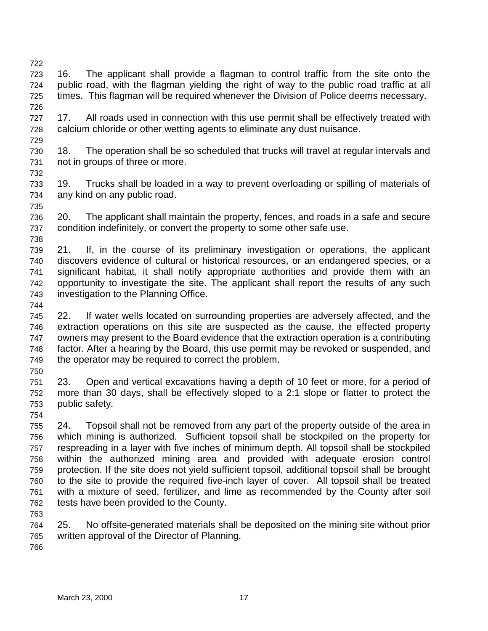- 722 723 16. The applicant shall provide a flagman to control traffic from the site onto the 724 public road, with the flagman yielding the right of way to the public road traffic at all 725 times. This flagman will be required whenever the Division of Police deems necessary.
- 727 17. All roads used in connection with this use permit shall be effectively treated with 728 calcium chloride or other wetting agents to eliminate any dust nuisance.
- 730 18. The operation shall be so scheduled that trucks will travel at regular intervals and 731 not in groups of three or more.
- 733 19. Trucks shall be loaded in a way to prevent overloading or spilling of materials of 734 any kind on any public road.
- 736 20. The applicant shall maintain the property, fences, and roads in a safe and secure 737 condition indefinitely, or convert the property to some other safe use. 738
- 739 21. If, in the course of its preliminary investigation or operations, the applicant 740 discovers evidence of cultural or historical resources, or an endangered species, or a 741 significant habitat, it shall notify appropriate authorities and provide them with an 742 opportunity to investigate the site. The applicant shall report the results of any such 743 investigation to the Planning Office.
- 744

726

729

732

735

745 22. If water wells located on surrounding properties are adversely affected, and the 746 extraction operations on this site are suspected as the cause, the effected property 747 owners may present to the Board evidence that the extraction operation is a contributing 748 factor. After a hearing by the Board, this use permit may be revoked or suspended, and 749 the operator may be required to correct the problem.

750

751 23. Open and vertical excavations having a depth of 10 feet or more, for a period of 752 more than 30 days, shall be effectively sloped to a 2:1 slope or flatter to protect the 753 public safety.

754

755 24. Topsoil shall not be removed from any part of the property outside of the area in 756 which mining is authorized. Sufficient topsoil shall be stockpiled on the property for 757 respreading in a layer with five inches of minimum depth. All topsoil shall be stockpiled 758 within the authorized mining area and provided with adequate erosion control 759 protection. If the site does not yield sufficient topsoil, additional topsoil shall be brought 760 to the site to provide the required five-inch layer of cover. All topsoil shall be treated 761 with a mixture of seed, fertilizer, and lime as recommended by the County after soil 762 tests have been provided to the County.

763

764 25. No offsite-generated materials shall be deposited on the mining site without prior 765 written approval of the Director of Planning.